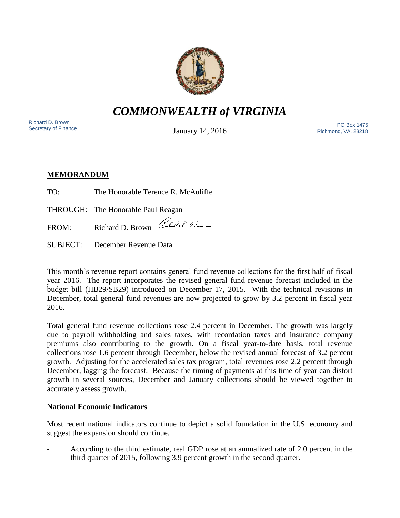

*COMMONWEALTH of VIRGINIA*

Richard D. Brown<br>Secretary of Finance

January 14, 2016

Nichard D. Brown<br>Secretary of Finance **PO Box 1475**<br>Secretary of Finance **Picket Brown Brown Brown International Secretary of Finance Picket and Contract Town Disk provided by the Secretary of Picket and Contract Town Inte** Richmond, VA. 23218

# **MEMORANDUM**

| TO: | The Honorable Terence R. McAuliffe  |
|-----|-------------------------------------|
|     | THROUGH: The Honorable Paul Reagan  |
|     | FROM: Richard D. Brown Rules & Deme |

SUBJECT: December Revenue Data

This month's revenue report contains general fund revenue collections for the first half of fiscal year 2016. The report incorporates the revised general fund revenue forecast included in the budget bill (HB29/SB29) introduced on December 17, 2015. With the technical revisions in December, total general fund revenues are now projected to grow by 3.2 percent in fiscal year 2016.

Total general fund revenue collections rose 2.4 percent in December. The growth was largely due to payroll withholding and sales taxes, with recordation taxes and insurance company premiums also contributing to the growth. On a fiscal year-to-date basis, total revenue collections rose 1.6 percent through December, below the revised annual forecast of 3.2 percent growth. Adjusting for the accelerated sales tax program, total revenues rose 2.2 percent through December, lagging the forecast. Because the timing of payments at this time of year can distort growth in several sources, December and January collections should be viewed together to accurately assess growth.

# **National Economic Indicators**

Most recent national indicators continue to depict a solid foundation in the U.S. economy and suggest the expansion should continue.

- According to the third estimate, real GDP rose at an annualized rate of 2.0 percent in the third quarter of 2015, following 3.9 percent growth in the second quarter.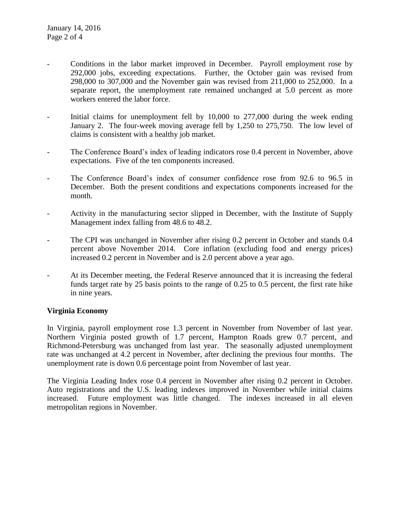- Conditions in the labor market improved in December. Payroll employment rose by 292,000 jobs, exceeding expectations. Further, the October gain was revised from 298,000 to 307,000 and the November gain was revised from 211,000 to 252,000. In a separate report, the unemployment rate remained unchanged at 5.0 percent as more workers entered the labor force.
- Initial claims for unemployment fell by 10,000 to 277,000 during the week ending January 2. The four-week moving average fell by 1,250 to 275,750. The low level of claims is consistent with a healthy job market.
- The Conference Board's index of leading indicators rose 0.4 percent in November, above expectations. Five of the ten components increased.
- The Conference Board's index of consumer confidence rose from 92.6 to 96.5 in December. Both the present conditions and expectations components increased for the month.
- Activity in the manufacturing sector slipped in December, with the Institute of Supply Management index falling from 48.6 to 48.2.
- The CPI was unchanged in November after rising 0.2 percent in October and stands 0.4 percent above November 2014. Core inflation (excluding food and energy prices) increased 0.2 percent in November and is 2.0 percent above a year ago.
- At its December meeting, the Federal Reserve announced that it is increasing the federal funds target rate by 25 basis points to the range of 0.25 to 0.5 percent, the first rate hike in nine years.

# **Virginia Economy**

In Virginia, payroll employment rose 1.3 percent in November from November of last year. Northern Virginia posted growth of 1.7 percent, Hampton Roads grew 0.7 percent, and Richmond-Petersburg was unchanged from last year. The seasonally adjusted unemployment rate was unchanged at 4.2 percent in November, after declining the previous four months. The unemployment rate is down 0.6 percentage point from November of last year.

The Virginia Leading Index rose 0.4 percent in November after rising 0.2 percent in October. Auto registrations and the U.S. leading indexes improved in November while initial claims increased. Future employment was little changed. The indexes increased in all eleven metropolitan regions in November.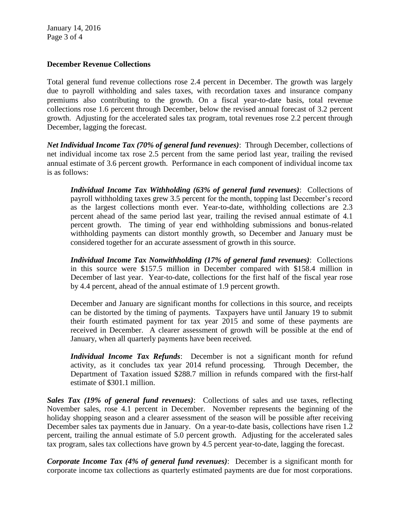January 14, 2016 Page 3 of 4

# **December Revenue Collections**

Total general fund revenue collections rose 2.4 percent in December. The growth was largely due to payroll withholding and sales taxes, with recordation taxes and insurance company premiums also contributing to the growth. On a fiscal year-to-date basis, total revenue collections rose 1.6 percent through December, below the revised annual forecast of 3.2 percent growth. Adjusting for the accelerated sales tax program, total revenues rose 2.2 percent through December, lagging the forecast.

*Net Individual Income Tax (70% of general fund revenues)*: Through December, collections of net individual income tax rose 2.5 percent from the same period last year, trailing the revised annual estimate of 3.6 percent growth. Performance in each component of individual income tax is as follows:

*Individual Income Tax Withholding (63% of general fund revenues)*: Collections of payroll withholding taxes grew 3.5 percent for the month, topping last December's record as the largest collections month ever. Year-to-date, withholding collections are 2.3 percent ahead of the same period last year, trailing the revised annual estimate of 4.1 percent growth. The timing of year end withholding submissions and bonus-related withholding payments can distort monthly growth, so December and January must be considered together for an accurate assessment of growth in this source.

*Individual Income Tax Nonwithholding (17% of general fund revenues)*: Collections in this source were \$157.5 million in December compared with \$158.4 million in December of last year. Year-to-date, collections for the first half of the fiscal year rose by 4.4 percent, ahead of the annual estimate of 1.9 percent growth.

December and January are significant months for collections in this source, and receipts can be distorted by the timing of payments. Taxpayers have until January 19 to submit their fourth estimated payment for tax year 2015 and some of these payments are received in December. A clearer assessment of growth will be possible at the end of January, when all quarterly payments have been received.

*Individual Income Tax Refunds*: December is not a significant month for refund activity, as it concludes tax year 2014 refund processing. Through December, the Department of Taxation issued \$288.7 million in refunds compared with the first-half estimate of \$301.1 million.

*Sales Tax (19% of general fund revenues)*: Collections of sales and use taxes, reflecting November sales, rose 4.1 percent in December. November represents the beginning of the holiday shopping season and a clearer assessment of the season will be possible after receiving December sales tax payments due in January. On a year-to-date basis, collections have risen 1.2 percent, trailing the annual estimate of 5.0 percent growth. Adjusting for the accelerated sales tax program, sales tax collections have grown by 4.5 percent year-to-date, lagging the forecast.

*Corporate Income Tax (4% of general fund revenues)*: December is a significant month for corporate income tax collections as quarterly estimated payments are due for most corporations.